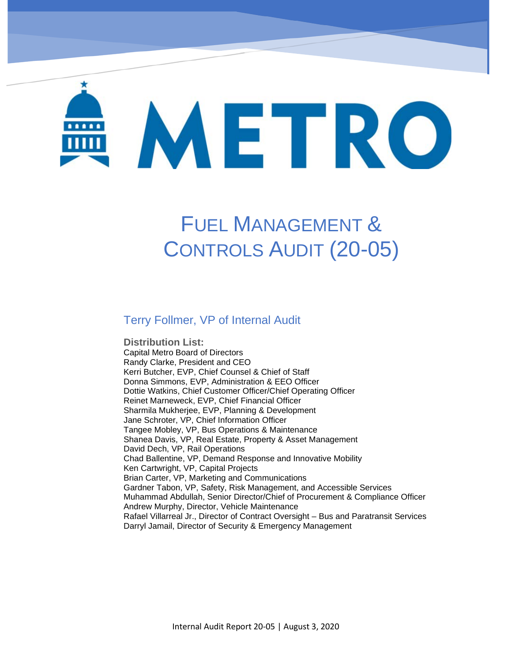# METRO

# FUEL MANAGEMENT & CONTROLS AUDIT (20-05)

#### Terry Follmer, VP of Internal Audit

DMU Maintenance Program – Oversight of Herzog (19-01)

**Distribution List:**  Capital Metro Board of Directors Randy Clarke, President and CEO Kerri Butcher, EVP, Chief Counsel & Chief of Staff Donna Simmons, EVP, Administration & EEO Officer Dottie Watkins, Chief Customer Officer/Chief Operating Officer Reinet Marneweck, EVP, Chief Financial Officer Sharmila Mukherjee, EVP, Planning & Development Jane Schroter, VP, Chief Information Officer Tangee Mobley, VP, Bus Operations & Maintenance Shanea Davis, VP, Real Estate, Property & Asset Management David Dech, VP, Rail Operations Chad Ballentine, VP, Demand Response and Innovative Mobility Ken Cartwright, VP, Capital Projects Brian Carter, VP, Marketing and Communications Gardner Tabon, VP, Safety, Risk Management, and Accessible Services Muhammad Abdullah, Senior Director/Chief of Procurement & Compliance Officer Andrew Murphy, Director, Vehicle Maintenance Rafael Villarreal Jr., Director of Contract Oversight – Bus and Paratransit Services Darryl Jamail, Director of Security & Emergency Management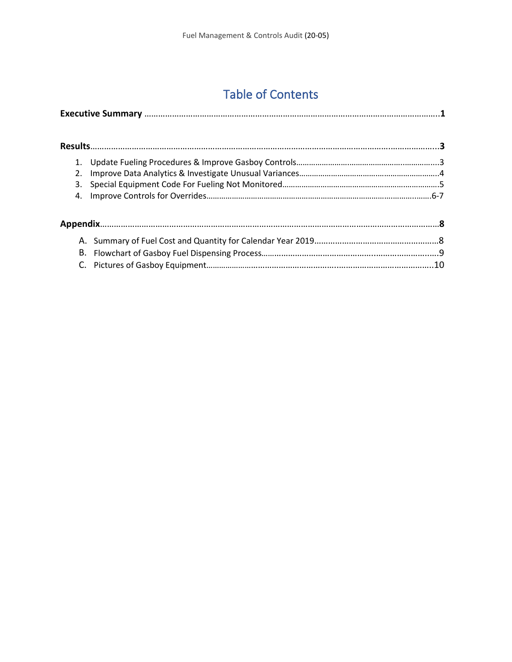# Table of Contents

| 2. |  |  |
|----|--|--|
| 3. |  |  |
|    |  |  |
|    |  |  |
|    |  |  |
|    |  |  |
|    |  |  |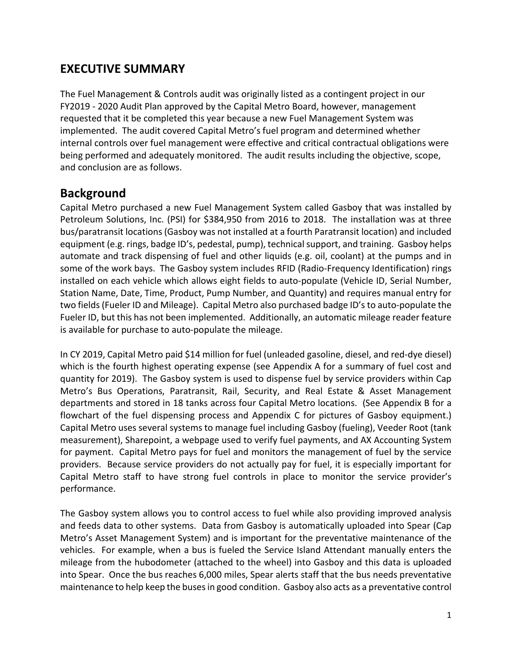#### **EXECUTIVE SUMMARY**

The Fuel Management & Controls audit was originally listed as a contingent project in our FY2019 - 2020 Audit Plan approved by the Capital Metro Board, however, management requested that it be completed this year because a new Fuel Management System was implemented. The audit covered Capital Metro's fuel program and determined whether internal controls over fuel management were effective and critical contractual obligations were being performed and adequately monitored. The audit results including the objective, scope, and conclusion are as follows.

#### **Background**

Capital Metro purchased a new Fuel Management System called Gasboy that was installed by Petroleum Solutions, Inc. (PSI) for \$384,950 from 2016 to 2018. The installation was at three bus/paratransit locations (Gasboy was not installed at a fourth Paratransit location) and included equipment (e.g. rings, badge ID's, pedestal, pump), technical support, and training. Gasboy helps automate and track dispensing of fuel and other liquids (e.g. oil, coolant) at the pumps and in some of the work bays. The Gasboy system includes RFID (Radio-Frequency Identification) rings installed on each vehicle which allows eight fields to auto-populate (Vehicle ID, Serial Number, Station Name, Date, Time, Product, Pump Number, and Quantity) and requires manual entry for two fields (Fueler ID and Mileage). Capital Metro also purchased badge ID's to auto-populate the Fueler ID, but this has not been implemented. Additionally, an automatic mileage reader feature is available for purchase to auto-populate the mileage.

In CY 2019, Capital Metro paid \$14 million for fuel (unleaded gasoline, diesel, and red-dye diesel) which is the fourth highest operating expense (see Appendix A for a summary of fuel cost and quantity for 2019). The Gasboy system is used to dispense fuel by service providers within Cap Metro's Bus Operations, Paratransit, Rail, Security, and Real Estate & Asset Management departments and stored in 18 tanks across four Capital Metro locations. (See Appendix B for a flowchart of the fuel dispensing process and Appendix C for pictures of Gasboy equipment.) Capital Metro uses several systems to manage fuel including Gasboy (fueling), Veeder Root (tank measurement), Sharepoint, a webpage used to verify fuel payments, and AX Accounting System for payment. Capital Metro pays for fuel and monitors the management of fuel by the service providers. Because service providers do not actually pay for fuel, it is especially important for Capital Metro staff to have strong fuel controls in place to monitor the service provider's performance.

The Gasboy system allows you to control access to fuel while also providing improved analysis and feeds data to other systems. Data from Gasboy is automatically uploaded into Spear (Cap Metro's Asset Management System) and is important for the preventative maintenance of the vehicles. For example, when a bus is fueled the Service Island Attendant manually enters the mileage from the hubodometer (attached to the wheel) into Gasboy and this data is uploaded into Spear. Once the bus reaches 6,000 miles, Spear alerts staff that the bus needs preventative maintenance to help keep the buses in good condition. Gasboy also acts as a preventative control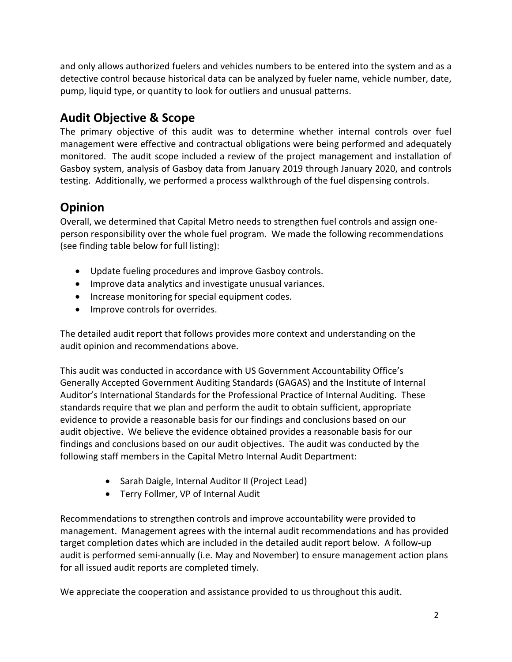and only allows authorized fuelers and vehicles numbers to be entered into the system and as a detective control because historical data can be analyzed by fueler name, vehicle number, date, pump, liquid type, or quantity to look for outliers and unusual patterns.

### **Audit Objective & Scope**

The primary objective of this audit was to determine whether internal controls over fuel management were effective and contractual obligations were being performed and adequately monitored. The audit scope included a review of the project management and installation of Gasboy system, analysis of Gasboy data from January 2019 through January 2020, and controls testing. Additionally, we performed a process walkthrough of the fuel dispensing controls.

## **Opinion**

Overall, we determined that Capital Metro needs to strengthen fuel controls and assign oneperson responsibility over the whole fuel program. We made the following recommendations (see finding table below for full listing):

- Update fueling procedures and improve Gasboy controls.
- Improve data analytics and investigate unusual variances.
- Increase monitoring for special equipment codes.
- Improve controls for overrides.

The detailed audit report that follows provides more context and understanding on the audit opinion and recommendations above.

This audit was conducted in accordance with US Government Accountability Office's Generally Accepted Government Auditing Standards (GAGAS) and the Institute of Internal Auditor's International Standards for the Professional Practice of Internal Auditing. These standards require that we plan and perform the audit to obtain sufficient, appropriate evidence to provide a reasonable basis for our findings and conclusions based on our audit objective. We believe the evidence obtained provides a reasonable basis for our findings and conclusions based on our audit objectives. The audit was conducted by the following staff members in the Capital Metro Internal Audit Department:

- Sarah Daigle, Internal Auditor II (Project Lead)
- Terry Follmer, VP of Internal Audit

Recommendations to strengthen controls and improve accountability were provided to management. Management agrees with the internal audit recommendations and has provided target completion dates which are included in the detailed audit report below. A follow-up audit is performed semi-annually (i.e. May and November) to ensure management action plans for all issued audit reports are completed timely.

We appreciate the cooperation and assistance provided to us throughout this audit.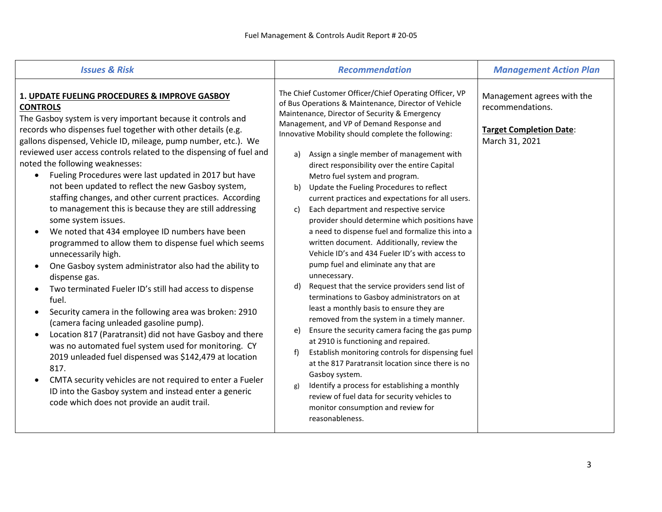| <b>Issues &amp; Risk</b>                                                                                                                                                                                                                                                                                                                                                                                                                                                                                                                                                                                                                                                                                                                                                                                                                                                                                                                                                                                                                                                                                                                                                                                                                                                                                                                                                                                 | <b>Recommendation</b>                                                                                                                                                                                                                                                                                                                                                                                                                                                                                                                                                                                                                                                                                                                                                                                                                                                                                                                                                                                                                                                                                                                                                                                                                                                                                                                                                                                                                | <b>Management Action Plan</b>                                                                      |
|----------------------------------------------------------------------------------------------------------------------------------------------------------------------------------------------------------------------------------------------------------------------------------------------------------------------------------------------------------------------------------------------------------------------------------------------------------------------------------------------------------------------------------------------------------------------------------------------------------------------------------------------------------------------------------------------------------------------------------------------------------------------------------------------------------------------------------------------------------------------------------------------------------------------------------------------------------------------------------------------------------------------------------------------------------------------------------------------------------------------------------------------------------------------------------------------------------------------------------------------------------------------------------------------------------------------------------------------------------------------------------------------------------|--------------------------------------------------------------------------------------------------------------------------------------------------------------------------------------------------------------------------------------------------------------------------------------------------------------------------------------------------------------------------------------------------------------------------------------------------------------------------------------------------------------------------------------------------------------------------------------------------------------------------------------------------------------------------------------------------------------------------------------------------------------------------------------------------------------------------------------------------------------------------------------------------------------------------------------------------------------------------------------------------------------------------------------------------------------------------------------------------------------------------------------------------------------------------------------------------------------------------------------------------------------------------------------------------------------------------------------------------------------------------------------------------------------------------------------|----------------------------------------------------------------------------------------------------|
| 1. UPDATE FUELING PROCEDURES & IMPROVE GASBOY<br><b>CONTROLS</b><br>The Gasboy system is very important because it controls and<br>records who dispenses fuel together with other details (e.g.<br>gallons dispensed, Vehicle ID, mileage, pump number, etc.). We<br>reviewed user access controls related to the dispensing of fuel and<br>noted the following weaknesses:<br>Fueling Procedures were last updated in 2017 but have<br>$\bullet$<br>not been updated to reflect the new Gasboy system,<br>staffing changes, and other current practices. According<br>to management this is because they are still addressing<br>some system issues.<br>We noted that 434 employee ID numbers have been<br>programmed to allow them to dispense fuel which seems<br>unnecessarily high.<br>One Gasboy system administrator also had the ability to<br>dispense gas.<br>Two terminated Fueler ID's still had access to dispense<br>fuel.<br>Security camera in the following area was broken: 2910<br>(camera facing unleaded gasoline pump).<br>Location 817 (Paratransit) did not have Gasboy and there<br>was no automated fuel system used for monitoring. CY<br>2019 unleaded fuel dispensed was \$142,479 at location<br>817.<br>CMTA security vehicles are not required to enter a Fueler<br>ID into the Gasboy system and instead enter a generic<br>code which does not provide an audit trail. | The Chief Customer Officer/Chief Operating Officer, VP<br>of Bus Operations & Maintenance, Director of Vehicle<br>Maintenance, Director of Security & Emergency<br>Management, and VP of Demand Response and<br>Innovative Mobility should complete the following:<br>Assign a single member of management with<br>a)<br>direct responsibility over the entire Capital<br>Metro fuel system and program.<br>Update the Fueling Procedures to reflect<br>b)<br>current practices and expectations for all users.<br>Each department and respective service<br>C)<br>provider should determine which positions have<br>a need to dispense fuel and formalize this into a<br>written document. Additionally, review the<br>Vehicle ID's and 434 Fueler ID's with access to<br>pump fuel and eliminate any that are<br>unnecessary.<br>Request that the service providers send list of<br>d)<br>terminations to Gasboy administrators on at<br>least a monthly basis to ensure they are<br>removed from the system in a timely manner.<br>Ensure the security camera facing the gas pump<br>e)<br>at 2910 is functioning and repaired.<br>Establish monitoring controls for dispensing fuel<br>f)<br>at the 817 Paratransit location since there is no<br>Gasboy system.<br>Identify a process for establishing a monthly<br>g)<br>review of fuel data for security vehicles to<br>monitor consumption and review for<br>reasonableness. | Management agrees with the<br>recommendations.<br><b>Target Completion Date:</b><br>March 31, 2021 |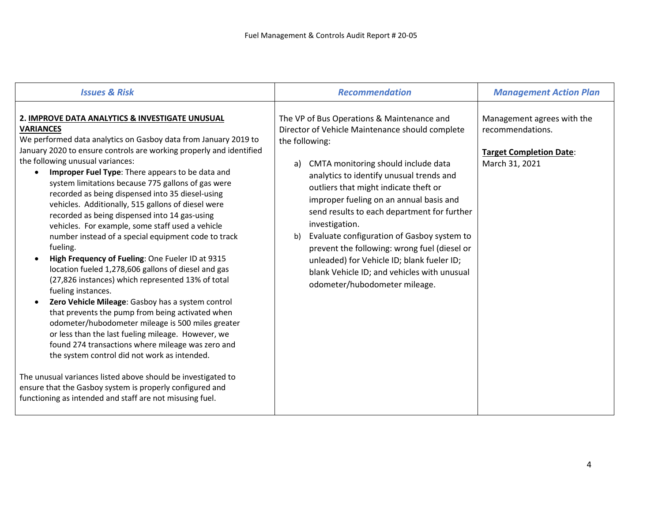| <b>Issues &amp; Risk</b>                                                                                                                                                                                                                                                                                                                                                                                                                                                                                                                                                                                                                                                                                                                                                                                                                                                                                                                                                                                                                                                                                                                                                                            | <b>Recommendation</b>                                                                                                                                                                                                                                                                                                                                                                                                                                                                                                                                                                           | <b>Management Action Plan</b>                                                                      |
|-----------------------------------------------------------------------------------------------------------------------------------------------------------------------------------------------------------------------------------------------------------------------------------------------------------------------------------------------------------------------------------------------------------------------------------------------------------------------------------------------------------------------------------------------------------------------------------------------------------------------------------------------------------------------------------------------------------------------------------------------------------------------------------------------------------------------------------------------------------------------------------------------------------------------------------------------------------------------------------------------------------------------------------------------------------------------------------------------------------------------------------------------------------------------------------------------------|-------------------------------------------------------------------------------------------------------------------------------------------------------------------------------------------------------------------------------------------------------------------------------------------------------------------------------------------------------------------------------------------------------------------------------------------------------------------------------------------------------------------------------------------------------------------------------------------------|----------------------------------------------------------------------------------------------------|
| 2. IMPROVE DATA ANALYTICS & INVESTIGATE UNUSUAL<br><b>VARIANCES</b><br>We performed data analytics on Gasboy data from January 2019 to<br>January 2020 to ensure controls are working properly and identified<br>the following unusual variances:<br>Improper Fuel Type: There appears to be data and<br>$\bullet$<br>system limitations because 775 gallons of gas were<br>recorded as being dispensed into 35 diesel-using<br>vehicles. Additionally, 515 gallons of diesel were<br>recorded as being dispensed into 14 gas-using<br>vehicles. For example, some staff used a vehicle<br>number instead of a special equipment code to track<br>fueling.<br>High Frequency of Fueling: One Fueler ID at 9315<br>$\bullet$<br>location fueled 1,278,606 gallons of diesel and gas<br>(27,826 instances) which represented 13% of total<br>fueling instances.<br>Zero Vehicle Mileage: Gasboy has a system control<br>$\bullet$<br>that prevents the pump from being activated when<br>odometer/hubodometer mileage is 500 miles greater<br>or less than the last fueling mileage. However, we<br>found 274 transactions where mileage was zero and<br>the system control did not work as intended. | The VP of Bus Operations & Maintenance and<br>Director of Vehicle Maintenance should complete<br>the following:<br>CMTA monitoring should include data<br>a)<br>analytics to identify unusual trends and<br>outliers that might indicate theft or<br>improper fueling on an annual basis and<br>send results to each department for further<br>investigation.<br>Evaluate configuration of Gasboy system to<br>b)<br>prevent the following: wrong fuel (diesel or<br>unleaded) for Vehicle ID; blank fueler ID;<br>blank Vehicle ID; and vehicles with unusual<br>odometer/hubodometer mileage. | Management agrees with the<br>recommendations.<br><b>Target Completion Date:</b><br>March 31, 2021 |
| The unusual variances listed above should be investigated to<br>ensure that the Gasboy system is properly configured and<br>functioning as intended and staff are not misusing fuel.                                                                                                                                                                                                                                                                                                                                                                                                                                                                                                                                                                                                                                                                                                                                                                                                                                                                                                                                                                                                                |                                                                                                                                                                                                                                                                                                                                                                                                                                                                                                                                                                                                 |                                                                                                    |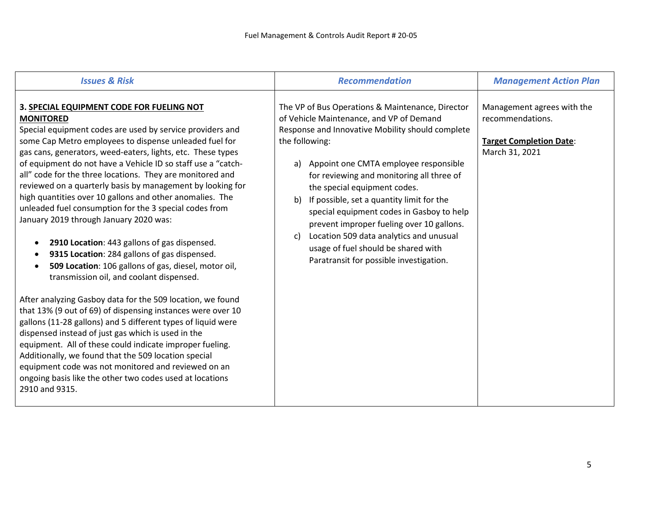| <b>Issues &amp; Risk</b>                                                                                                                                                                                                                                                                                                                                                                                                                                                                                                                                                                                                                                                                                                                                                                                           | <b>Recommendation</b>                                                                                                                                                                                                                                                                                                                                                                                                                                                                                                                                                       | <b>Management Action Plan</b>                                                                      |
|--------------------------------------------------------------------------------------------------------------------------------------------------------------------------------------------------------------------------------------------------------------------------------------------------------------------------------------------------------------------------------------------------------------------------------------------------------------------------------------------------------------------------------------------------------------------------------------------------------------------------------------------------------------------------------------------------------------------------------------------------------------------------------------------------------------------|-----------------------------------------------------------------------------------------------------------------------------------------------------------------------------------------------------------------------------------------------------------------------------------------------------------------------------------------------------------------------------------------------------------------------------------------------------------------------------------------------------------------------------------------------------------------------------|----------------------------------------------------------------------------------------------------|
| 3. SPECIAL EQUIPMENT CODE FOR FUELING NOT<br><b>MONITORED</b><br>Special equipment codes are used by service providers and<br>some Cap Metro employees to dispense unleaded fuel for<br>gas cans, generators, weed-eaters, lights, etc. These types<br>of equipment do not have a Vehicle ID so staff use a "catch-<br>all" code for the three locations. They are monitored and<br>reviewed on a quarterly basis by management by looking for<br>high quantities over 10 gallons and other anomalies. The<br>unleaded fuel consumption for the 3 special codes from<br>January 2019 through January 2020 was:<br>2910 Location: 443 gallons of gas dispensed.<br>9315 Location: 284 gallons of gas dispensed.<br>509 Location: 106 gallons of gas, diesel, motor oil,<br>transmission oil, and coolant dispensed. | The VP of Bus Operations & Maintenance, Director<br>of Vehicle Maintenance, and VP of Demand<br>Response and Innovative Mobility should complete<br>the following:<br>a) Appoint one CMTA employee responsible<br>for reviewing and monitoring all three of<br>the special equipment codes.<br>If possible, set a quantity limit for the<br>b)<br>special equipment codes in Gasboy to help<br>prevent improper fueling over 10 gallons.<br>Location 509 data analytics and unusual<br>C)<br>usage of fuel should be shared with<br>Paratransit for possible investigation. | Management agrees with the<br>recommendations.<br><b>Target Completion Date:</b><br>March 31, 2021 |
| After analyzing Gasboy data for the 509 location, we found<br>that 13% (9 out of 69) of dispensing instances were over 10<br>gallons (11-28 gallons) and 5 different types of liquid were<br>dispensed instead of just gas which is used in the<br>equipment. All of these could indicate improper fueling.<br>Additionally, we found that the 509 location special<br>equipment code was not monitored and reviewed on an<br>ongoing basis like the other two codes used at locations<br>2910 and 9315.                                                                                                                                                                                                                                                                                                           |                                                                                                                                                                                                                                                                                                                                                                                                                                                                                                                                                                             |                                                                                                    |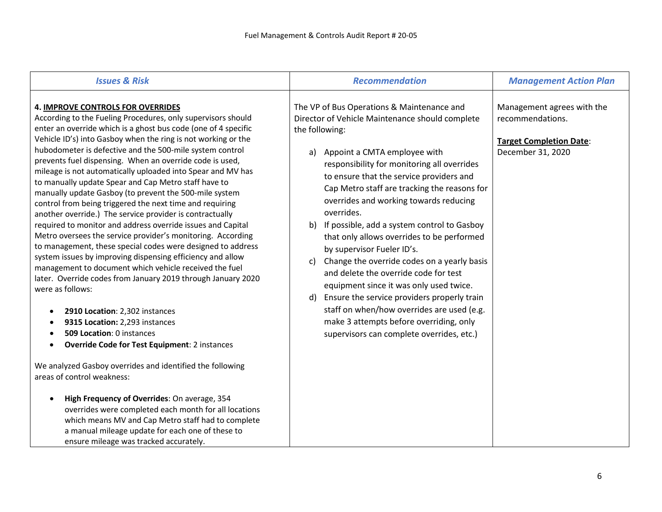| <b>Issues &amp; Risk</b>                                                                                                                                                                                                                                                                                                                                                                                                                                                                                                                                                                                                                                                                                                                                                                                                                                                                                                                                                                                                                                                                                                                                                                                                                                                                                                                                                                                                                                                                                                                                                                                                         | <b>Recommendation</b>                                                                                                                                                                                                                                                                                                                                                                                                                                                                                                                                                                                                                                                                                                                                                                                                         | <b>Management Action Plan</b>                                                                         |
|----------------------------------------------------------------------------------------------------------------------------------------------------------------------------------------------------------------------------------------------------------------------------------------------------------------------------------------------------------------------------------------------------------------------------------------------------------------------------------------------------------------------------------------------------------------------------------------------------------------------------------------------------------------------------------------------------------------------------------------------------------------------------------------------------------------------------------------------------------------------------------------------------------------------------------------------------------------------------------------------------------------------------------------------------------------------------------------------------------------------------------------------------------------------------------------------------------------------------------------------------------------------------------------------------------------------------------------------------------------------------------------------------------------------------------------------------------------------------------------------------------------------------------------------------------------------------------------------------------------------------------|-------------------------------------------------------------------------------------------------------------------------------------------------------------------------------------------------------------------------------------------------------------------------------------------------------------------------------------------------------------------------------------------------------------------------------------------------------------------------------------------------------------------------------------------------------------------------------------------------------------------------------------------------------------------------------------------------------------------------------------------------------------------------------------------------------------------------------|-------------------------------------------------------------------------------------------------------|
| <b>4. IMPROVE CONTROLS FOR OVERRIDES</b><br>According to the Fueling Procedures, only supervisors should<br>enter an override which is a ghost bus code (one of 4 specific<br>Vehicle ID's) into Gasboy when the ring is not working or the<br>hubodometer is defective and the 500-mile system control<br>prevents fuel dispensing. When an override code is used,<br>mileage is not automatically uploaded into Spear and MV has<br>to manually update Spear and Cap Metro staff have to<br>manually update Gasboy (to prevent the 500-mile system<br>control from being triggered the next time and requiring<br>another override.) The service provider is contractually<br>required to monitor and address override issues and Capital<br>Metro oversees the service provider's monitoring. According<br>to management, these special codes were designed to address<br>system issues by improving dispensing efficiency and allow<br>management to document which vehicle received the fuel<br>later. Override codes from January 2019 through January 2020<br>were as follows:<br>2910 Location: 2,302 instances<br>$\bullet$<br>9315 Location: 2,293 instances<br>509 Location: 0 instances<br><b>Override Code for Test Equipment: 2 instances</b><br>$\bullet$<br>We analyzed Gasboy overrides and identified the following<br>areas of control weakness:<br>High Frequency of Overrides: On average, 354<br>overrides were completed each month for all locations<br>which means MV and Cap Metro staff had to complete<br>a manual mileage update for each one of these to<br>ensure mileage was tracked accurately. | The VP of Bus Operations & Maintenance and<br>Director of Vehicle Maintenance should complete<br>the following:<br>Appoint a CMTA employee with<br>a)<br>responsibility for monitoring all overrides<br>to ensure that the service providers and<br>Cap Metro staff are tracking the reasons for<br>overrides and working towards reducing<br>overrides.<br>If possible, add a system control to Gasboy<br>b)<br>that only allows overrides to be performed<br>by supervisor Fueler ID's.<br>Change the override codes on a yearly basis<br>c)<br>and delete the override code for test<br>equipment since it was only used twice.<br>Ensure the service providers properly train<br>d)<br>staff on when/how overrides are used (e.g.<br>make 3 attempts before overriding, only<br>supervisors can complete overrides, etc.) | Management agrees with the<br>recommendations.<br><b>Target Completion Date:</b><br>December 31, 2020 |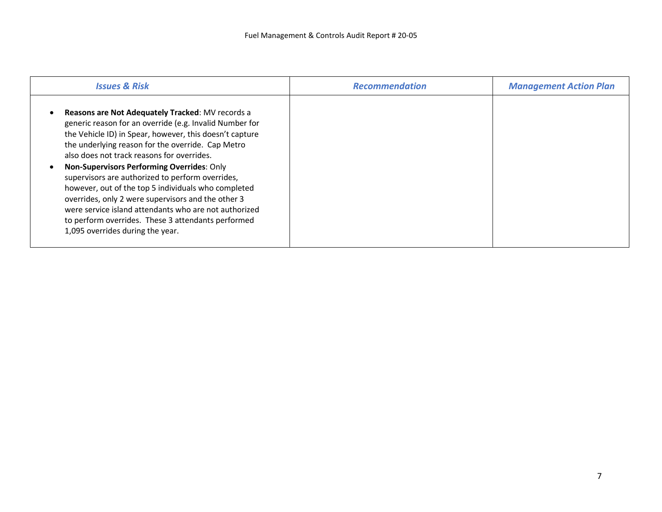| <b>Issues &amp; Risk</b>                                                                                                                                                                                                                                                                                                                                                                                                                                                                                                                                                                                                                           | <b>Recommendation</b> | <b>Management Action Plan</b> |
|----------------------------------------------------------------------------------------------------------------------------------------------------------------------------------------------------------------------------------------------------------------------------------------------------------------------------------------------------------------------------------------------------------------------------------------------------------------------------------------------------------------------------------------------------------------------------------------------------------------------------------------------------|-----------------------|-------------------------------|
| <b>Reasons are Not Adequately Tracked: MV records a</b><br>generic reason for an override (e.g. Invalid Number for<br>the Vehicle ID) in Spear, however, this doesn't capture<br>the underlying reason for the override. Cap Metro<br>also does not track reasons for overrides.<br>Non-Supervisors Performing Overrides: Only<br>supervisors are authorized to perform overrides,<br>however, out of the top 5 individuals who completed<br>overrides, only 2 were supervisors and the other 3<br>were service island attendants who are not authorized<br>to perform overrides. These 3 attendants performed<br>1,095 overrides during the year. |                       |                               |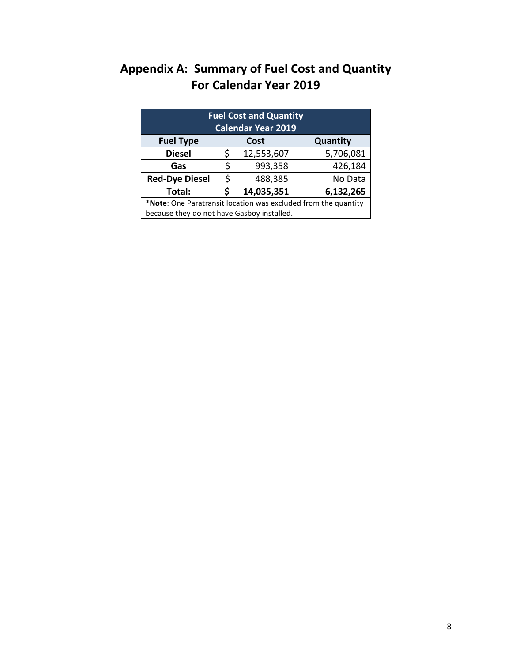# **Appendix A: Summary of Fuel Cost and Quantity For Calendar Year 2019**

| <b>Fuel Cost and Quantity</b><br><b>Calendar Year 2019</b>     |    |            |           |
|----------------------------------------------------------------|----|------------|-----------|
| <b>Fuel Type</b>                                               |    | Cost       | Quantity  |
| <b>Diesel</b>                                                  | \$ | 12,553,607 | 5,706,081 |
| Gas                                                            | \$ | 993,358    | 426,184   |
| <b>Red-Dye Diesel</b>                                          | \$ | 488,385    | No Data   |
| Total:                                                         |    | 14,035,351 | 6,132,265 |
| *Note: One Paratransit location was excluded from the quantity |    |            |           |
| because they do not have Gasboy installed.                     |    |            |           |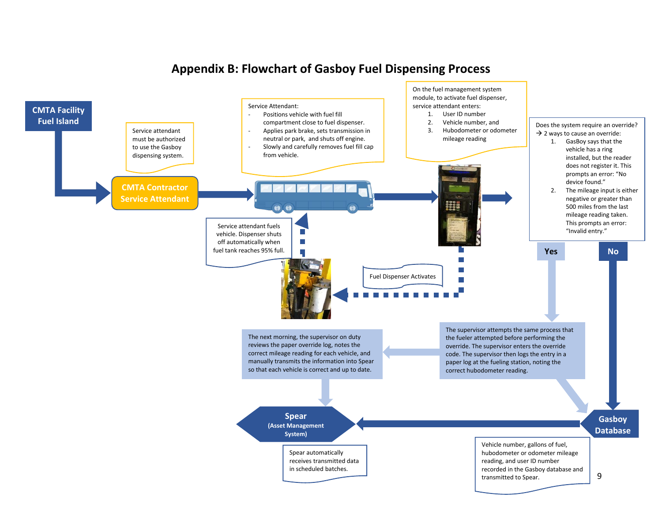

#### **Appendix B: Flowchart of Gasboy Fuel Dispensing Process**